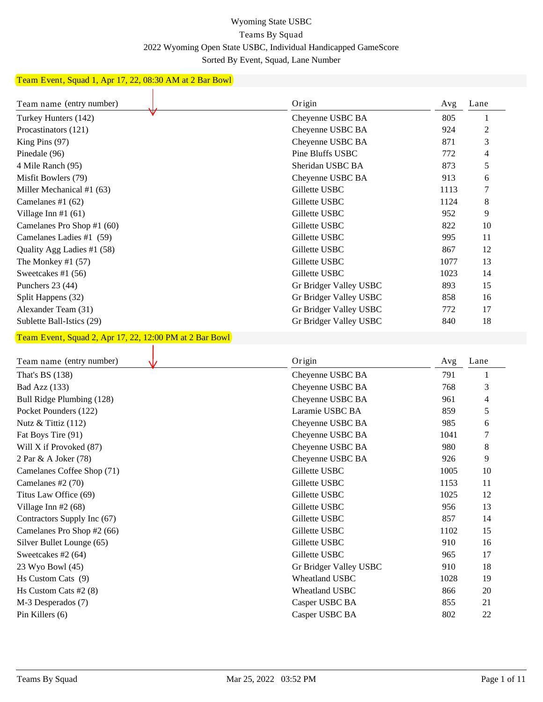## Wyoming State USBC Teams By Squad 2022 Wyoming Open State USBC, Individual Handicapped GameScore Sorted By Event, Squad, Lane Number

## Team Event, Squad 1, Apr 17, 22, 08:30 AM at 2 Bar Bowl

| Team name (entry number)                                | Origin                           | Avg        | Lane          |
|---------------------------------------------------------|----------------------------------|------------|---------------|
| Turkey Hunters (142)                                    | Cheyenne USBC BA                 | 805        | 1             |
| Procastinators (121)                                    | Cheyenne USBC BA                 | 924        | 2             |
| King Pins (97)                                          | Cheyenne USBC BA                 | 871        | 3             |
| Pinedale (96)                                           | Pine Bluffs USBC                 | 772        | 4             |
| 4 Mile Ranch (95)                                       | Sheridan USBC BA                 | 873        | 5             |
| Misfit Bowlers (79)                                     | Cheyenne USBC BA                 | 913        | 6             |
| Miller Mechanical #1 (63)                               | Gillette USBC                    | 1113       | 7             |
| Camelanes #1 $(62)$                                     | Gillette USBC                    | 1124       | 8             |
| Village Inn #1 $(61)$                                   | Gillette USBC                    | 952        | 9             |
| Camelanes Pro Shop #1 (60)                              | Gillette USBC                    | 822        | 10            |
| Camelanes Ladies #1 (59)                                | Gillette USBC                    | 995        | 11            |
| Quality Agg Ladies #1 (58)                              | Gillette USBC                    | 867        | 12            |
| The Monkey #1 $(57)$                                    | Gillette USBC                    | 1077       | 13            |
| Sweetcakes #1 (56)                                      | Gillette USBC                    | 1023       | 14            |
| Punchers 23 (44)                                        | Gr Bridger Valley USBC           | 893        | 15            |
| Split Happens (32)                                      | Gr Bridger Valley USBC           | 858        | 16            |
| Alexander Team (31)                                     | Gr Bridger Valley USBC           | 772        | 17            |
| Sublette Ball-Istics (29)                               | Gr Bridger Valley USBC           | 840        | 18            |
| Team Event, Squad 2, Apr 17, 22, 12:00 PM at 2 Bar Bowl |                                  |            |               |
|                                                         |                                  |            |               |
|                                                         |                                  |            |               |
| Team name (entry number)                                | Origin                           | Avg        | Lane          |
| That's BS (138)                                         | Cheyenne USBC BA                 | 791        | 1             |
| Bad Azz (133)                                           | Cheyenne USBC BA                 | 768        | 3             |
| Bull Ridge Plumbing (128)                               | Cheyenne USBC BA                 | 961        | 4             |
| Pocket Pounders (122)                                   | Laramie USBC BA                  | 859        | 5             |
| Nutz & Tittiz (112)                                     | Cheyenne USBC BA                 | 985        | 6             |
| Fat Boys Tire (91)                                      | Cheyenne USBC BA                 | 1041       | 7             |
| Will X if Provoked (87)                                 | Cheyenne USBC BA                 | 980        | 8             |
| 2 Par & A Joker (78)                                    | Cheyenne USBC BA                 | 926        | 9             |
| Camelanes Coffee Shop (71)                              | Gillette USBC                    | 1005       | 10            |
| Camelanes #2 $(70)$                                     | Gillette USBC                    | 1153       | <sup>11</sup> |
| Titus Law Office (69)                                   | Gillette USBC                    | 1025       | 12            |
| Village Inn #2 (68)                                     | Gillette USBC                    | 956        | 13            |
| Contractors Supply Inc (67)                             | Gillette USBC                    | 857        | 14            |
| Camelanes Pro Shop #2 (66)                              | Gillette USBC                    | 1102       | 15            |
| Silver Bullet Lounge (65)                               | Gillette USBC                    | 910        | 16            |
| Sweetcakes #2 (64)                                      | Gillette USBC                    | 965        | 17            |
| 23 Wyo Bowl (45)                                        | Gr Bridger Valley USBC           | 910        | 18            |
| Hs Custom Cats (9)                                      | Wheatland USBC                   | 1028       | 19            |
| Hs Custom Cats #2 (8)                                   | Wheatland USBC                   | 866        | 20            |
| M-3 Desperados (7)<br>Pin Killers (6)                   | Casper USBC BA<br>Casper USBC BA | 855<br>802 | 21<br>$22\,$  |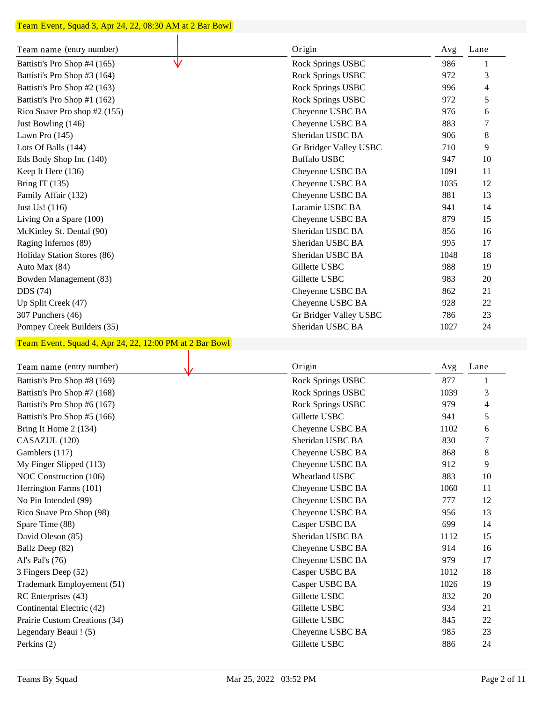## Team Event, Squad 3, Apr 24, 22, 08:30 AM at 2 Bar Bowl

| Team name (entry number)                                | Origin                            | Avg        | Lane     |
|---------------------------------------------------------|-----------------------------------|------------|----------|
| Battisti's Pro Shop #4 (165)                            | Rock Springs USBC                 | 986        |          |
| Battisti's Pro Shop #3 (164)                            | Rock Springs USBC                 | 972        | 3        |
| Battisti's Pro Shop #2 (163)                            | Rock Springs USBC                 | 996        | 4        |
| Battisti's Pro Shop #1 (162)                            | Rock Springs USBC                 | 972        | 5        |
| Rico Suave Pro shop #2 (155)                            | Cheyenne USBC BA                  | 976        | 6        |
| Just Bowling (146)                                      | Cheyenne USBC BA                  | 883        | 7        |
| Lawn Pro (145)                                          | Sheridan USBC BA                  | 906        | 8        |
| Lots Of Balls (144)                                     | Gr Bridger Valley USBC            | 710        | 9        |
| Eds Body Shop Inc (140)                                 | <b>Buffalo USBC</b>               | 947        | 10       |
| Keep It Here (136)                                      | Cheyenne USBC BA                  | 1091       | 11       |
| Bring IT $(135)$                                        | Cheyenne USBC BA                  | 1035       | 12       |
| Family Affair (132)                                     | Cheyenne USBC BA                  | 881        | 13       |
| Just Us! (116)                                          | Laramie USBC BA                   | 941        | 14       |
| Living On a Spare (100)                                 | Cheyenne USBC BA                  | 879        | 15       |
| McKinley St. Dental (90)                                | Sheridan USBC BA                  | 856        | 16       |
| Raging Infernos (89)                                    | Sheridan USBC BA                  | 995        | 17       |
| Holiday Station Stores (86)                             | Sheridan USBC BA                  | 1048       | 18       |
| Auto Max (84)                                           | Gillette USBC                     | 988        | 19       |
| Bowden Management (83)                                  | Gillette USBC                     | 983        | 20       |
| DDS (74)                                                | Cheyenne USBC BA                  | 862        | 21       |
| Up Split Creek (47)                                     | Cheyenne USBC BA                  | 928        | 22       |
| 307 Punchers (46)                                       | Gr Bridger Valley USBC            | 786        | 23       |
| Pompey Creek Builders (35)                              | Sheridan USBC BA                  | 1027       | 24       |
| Team Event, Squad 4, Apr 24, 22, 12:00 PM at 2 Bar Bowl |                                   |            |          |
|                                                         |                                   |            |          |
| Team name (entry number)                                | Origin                            | Avg        | Lane     |
|                                                         |                                   |            |          |
|                                                         |                                   |            | 1        |
| Battisti's Pro Shop #8 (169)                            | Rock Springs USBC                 | 877        |          |
| Battisti's Pro Shop #7 (168)                            | Rock Springs USBC                 | 1039       | 3<br>4   |
| Battisti's Pro Shop #6 (167)                            | Rock Springs USBC                 | 979        |          |
| Battisti's Pro Shop #5 (166)                            | Gillette USBC                     | 941        | 5<br>6   |
| Bring It Home 2 (134)                                   | Cheyenne USBC BA                  | 1102       |          |
| CASAZUL (120)                                           | Sheridan USBC BA                  | 830        | 7        |
| Gamblers (117)                                          | Cheyenne USBC BA                  | 868        | 8        |
| My Finger Slipped (113)                                 | Cheyenne USBC BA                  | 912        | 9        |
| NOC Construction (106)                                  | Wheatland USBC                    | 883        | 10       |
| Herrington Farms (101)                                  | Cheyenne USBC BA                  | 1060       | 11       |
| No Pin Intended (99)                                    | Cheyenne USBC BA                  | 777        | 12       |
| Rico Suave Pro Shop (98)                                | Cheyenne USBC BA                  | 956        | 13       |
| Spare Time (88)                                         | Casper USBC BA                    | 699        | 14       |
| David Oleson (85)                                       | Sheridan USBC BA                  | 1112       | 15       |
| Ballz Deep (82)                                         | Cheyenne USBC BA                  | 914        | 16       |
| Al's Pal's (76)                                         | Cheyenne USBC BA                  | 979        | 17       |
| 3 Fingers Deep (52)                                     | Casper USBC BA                    | 1012       | 18       |
| Trademark Employement (51)                              | Casper USBC BA                    | 1026       | 19       |
| RC Enterprises (43)                                     | Gillette USBC                     | 832        | 20       |
| Continental Electric (42)                               | Gillette USBC                     | 934        | 21       |
| Prairie Custom Creations (34)                           | Gillette USBC                     | 845        | $22\,$   |
| Legendary Beaui ! (5)<br>Perkins (2)                    | Cheyenne USBC BA<br>Gillette USBC | 985<br>886 | 23<br>24 |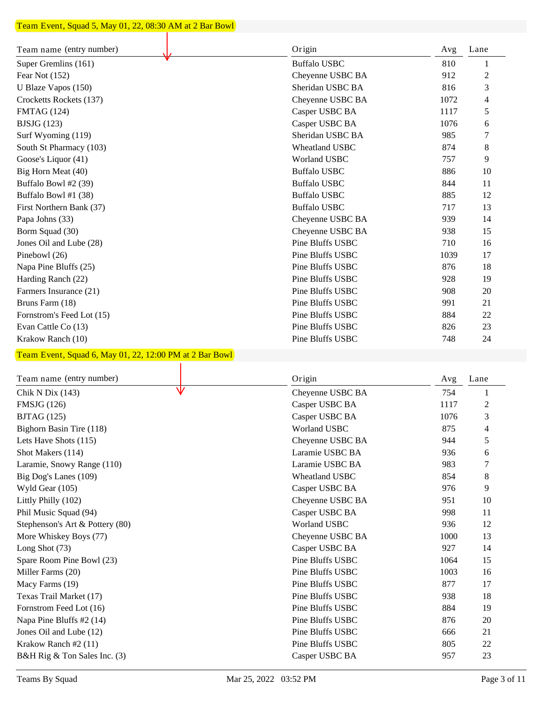#### Team Event, Squad 5, May 01, 22, 08:30 AM at 2 Bar Bowl ┓

| Team name (entry number)                                | Origin              | Avg  | Lane           |
|---------------------------------------------------------|---------------------|------|----------------|
| Super Gremlins (161)                                    | <b>Buffalo USBC</b> | 810  | 1              |
| Fear Not (152)                                          | Cheyenne USBC BA    | 912  | $\overline{c}$ |
| U Blaze Vapos (150)                                     | Sheridan USBC BA    | 816  | 3              |
| Crocketts Rockets (137)                                 | Cheyenne USBC BA    | 1072 | 4              |
| <b>FMTAG</b> (124)                                      | Casper USBC BA      | 1117 | 5              |
| BJSJG(123)                                              | Casper USBC BA      | 1076 | 6              |
| Surf Wyoming (119)                                      | Sheridan USBC BA    | 985  | 7              |
| South St Pharmacy (103)                                 | Wheatland USBC      | 874  | 8              |
| Goose's Liquor (41)                                     | <b>Worland USBC</b> | 757  | 9              |
| Big Horn Meat (40)                                      | <b>Buffalo USBC</b> | 886  | 10             |
| Buffalo Bowl #2 (39)                                    | <b>Buffalo USBC</b> | 844  | 11             |
| Buffalo Bowl #1 (38)                                    | <b>Buffalo USBC</b> | 885  | 12             |
| First Northern Bank (37)                                | <b>Buffalo USBC</b> | 717  | 13             |
| Papa Johns (33)                                         | Cheyenne USBC BA    | 939  | 14             |
| Borm Squad (30)                                         | Cheyenne USBC BA    | 938  | 15             |
| Jones Oil and Lube (28)                                 | Pine Bluffs USBC    | 710  | 16             |
| Pinebowl (26)                                           | Pine Bluffs USBC    | 1039 | 17             |
| Napa Pine Bluffs (25)                                   | Pine Bluffs USBC    | 876  | 18             |
| Harding Ranch (22)                                      | Pine Bluffs USBC    | 928  | 19             |
| Farmers Insurance (21)                                  | Pine Bluffs USBC    | 908  | 20             |
| Bruns Farm (18)                                         | Pine Bluffs USBC    | 991  | 21             |
| Fornstrom's Feed Lot (15)                               | Pine Bluffs USBC    | 884  | 22             |
| Evan Cattle Co (13)                                     | Pine Bluffs USBC    | 826  | 23             |
| Krakow Ranch (10)                                       | Pine Bluffs USBC    | 748  | 24             |
|                                                         |                     |      |                |
| Team Event, Squad 6, May 01, 22, 12:00 PM at 2 Bar Bowl |                     |      |                |
| Team name (entry number)                                | Origin              | Avg  | Lane           |
| Chik N Dix (143)                                        | Cheyenne USBC BA    | 754  | 1              |
| <b>FMSJG</b> (126)                                      | Casper USBC BA      | 1117 | $\overline{c}$ |
| <b>BJTAG</b> (125)                                      | Casper USBC BA      | 1076 | 3              |
| Bighorn Basin Tire (118)                                | <b>Worland USBC</b> | 875  | 4              |
| Lets Have Shots (115)                                   | Cheyenne USBC BA    | 944  | 5              |
| Shot Makers (114)                                       | Laramie USBC BA     | 936  | 6              |
| Laramie, Snowy Range (110)                              | Laramie USBC BA     | 983  | 7              |
| Big Dog's Lanes (109)                                   | Wheatland USBC      | 854  | 8              |
| Wyld Gear (105)                                         | Casper USBC BA      | 976  | 9              |
| Littly Philly (102)                                     | Cheyenne USBC BA    | 951  | 10             |
| Phil Music Squad (94)                                   | Casper USBC BA      | 998  |                |
| Stephenson's Art & Pottery (80)                         | Worland USBC        | 936  | 11<br>12       |
|                                                         |                     | 1000 | 13             |
| More Whiskey Boys (77)                                  | Cheyenne USBC BA    |      |                |
| Long Shot (73)                                          | Casper USBC BA      | 927  | 14             |
| Spare Room Pine Bowl (23)                               | Pine Bluffs USBC    | 1064 | 15             |
| Miller Farms (20)                                       | Pine Bluffs USBC    | 1003 | 16             |
| Macy Farms (19)                                         | Pine Bluffs USBC    | 877  | 17             |
| Texas Trail Market (17)                                 | Pine Bluffs USBC    | 938  | 18             |
| Fornstrom Feed Lot (16)                                 | Pine Bluffs USBC    | 884  | 19             |
| Napa Pine Bluffs #2 (14)                                | Pine Bluffs USBC    | 876  | 20             |
| Jones Oil and Lube (12)                                 | Pine Bluffs USBC    | 666  | 21             |
| Krakow Ranch #2 (11)                                    | Pine Bluffs USBC    | 805  | 22             |
| B&H Rig & Ton Sales Inc. (3)                            | Casper USBC BA      | 957  | 23             |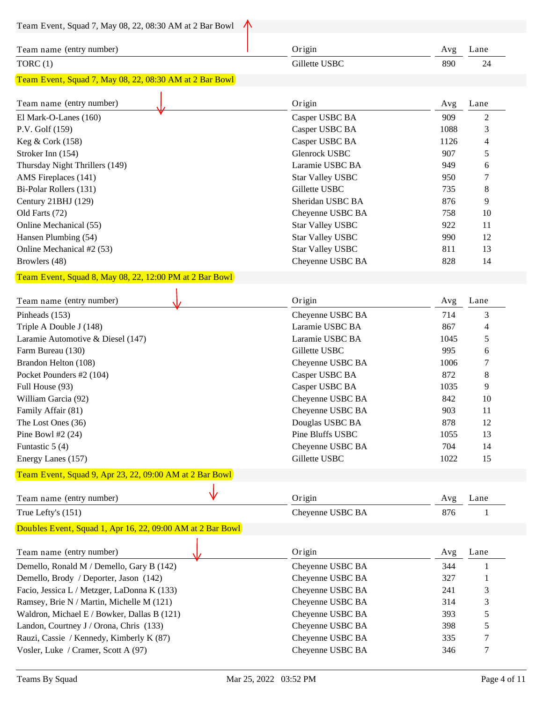| Team Event, Squad 7, May 08, 22, 08:30 AM at 2 Bar Bowl    |                         |      |            |
|------------------------------------------------------------|-------------------------|------|------------|
| Team name (entry number)                                   | Origin                  | Avg  | Lane       |
| TORC $(1)$                                                 | Gillette USBC           | 890  | 24         |
| Team Event, Squad 7, May 08, 22, 08:30 AM at 2 Bar Bowl    |                         |      |            |
|                                                            |                         |      |            |
| Team name (entry number)                                   | Origin                  | Avg  | Lane       |
| El Mark-O-Lanes (160)                                      | Casper USBC BA          | 909  | 2          |
| P.V. Golf (159)                                            | Casper USBC BA          | 1088 | 3          |
| Keg & Cork (158)                                           | Casper USBC BA          | 1126 | 4          |
| Stroker Inn (154)                                          | Glenrock USBC           | 907  | 5          |
| Thursday Night Thrillers (149)                             | Laramie USBC BA         | 949  | 6          |
| AMS Fireplaces (141)                                       | <b>Star Valley USBC</b> | 950  | 7          |
| Bi-Polar Rollers (131)                                     | Gillette USBC           | 735  | 8          |
| Century 21BHJ (129)                                        | Sheridan USBC BA        | 876  | 9          |
| Old Farts (72)                                             | Cheyenne USBC BA        | 758  | 10         |
| Online Mechanical (55)                                     | <b>Star Valley USBC</b> | 922  | 11         |
| Hansen Plumbing (54)                                       | <b>Star Valley USBC</b> | 990  | 12         |
| Online Mechanical #2 (53)                                  | <b>Star Valley USBC</b> | 811  | 13         |
| Browlers (48)                                              | Cheyenne USBC BA        | 828  | 14         |
| Team Event, Squad 8, May 08, 22, 12:00 PM at 2 Bar Bowl    |                         |      |            |
|                                                            |                         |      |            |
| Team name (entry number)                                   | Origin                  | Avg  | Lane       |
| Pinheads (153)                                             | Cheyenne USBC BA        | 714  | 3          |
| Triple A Double J (148)                                    | Laramie USBC BA         | 867  | 4          |
| Laramie Automotive & Diesel (147)                          | Laramie USBC BA         | 1045 | 5          |
| Farm Bureau (130)                                          | Gillette USBC           | 995  | 6          |
| Brandon Helton (108)                                       | Cheyenne USBC BA        | 1006 | 7          |
| Pocket Pounders #2 (104)                                   | Casper USBC BA          | 872  | $\,8$      |
| Full House (93)                                            | Casper USBC BA          | 1035 | 9          |
| William Garcia (92)                                        | Cheyenne USBC BA        | 842  | 10         |
| Family Affair (81)                                         | Cheyenne USBC BA        | 903  | 11         |
| The Lost Ones (36)                                         | Douglas USBC BA         | 878  | 12         |
| Pine Bowl #2 $(24)$                                        | Pine Bluffs USBC        | 1055 | 13         |
| Funtastic $5(4)$                                           | Cheyenne USBC BA        | 704  | 14         |
| Energy Lanes (157)                                         | Gillette USBC           | 1022 | 15         |
| Team Event, Squad 9, Apr 23, 22, 09:00 AM at 2 Bar Bowl    |                         |      |            |
|                                                            |                         |      |            |
| Team name (entry number)                                   | Origin                  | Avg  | Lane       |
| True Lefty's (151)                                         | Cheyenne USBC BA        | 876  | 1          |
| Doubles Event, Squad 1, Apr 16, 22, 09:00 AM at 2 Bar Bowl |                         |      |            |
|                                                            |                         |      |            |
| Team name (entry number)                                   | Origin                  | Avg  | Lane       |
| Demello, Ronald M / Demello, Gary B (142)                  | Cheyenne USBC BA        | 344  | 1          |
| Demello, Brody / Deporter, Jason (142)                     | Cheyenne USBC BA        | 327  | 1          |
| Facio, Jessica L / Metzger, LaDonna K (133)                | Cheyenne USBC BA        | 241  | 3          |
| Ramsey, Brie N / Martin, Michelle M (121)                  | Cheyenne USBC BA        | 314  | 3          |
| Waldron, Michael E / Bowker, Dallas B (121)                | Cheyenne USBC BA        | 393  | $\sqrt{5}$ |
| Landon, Courtney J / Orona, Chris (133)                    | Cheyenne USBC BA        | 398  | 5          |
| Rauzi, Cassie / Kennedy, Kimberly K (87)                   | Cheyenne USBC BA        | 335  | 7          |
| Vosler, Luke / Cramer, Scott A (97)                        | Cheyenne USBC BA        | 346  | 7          |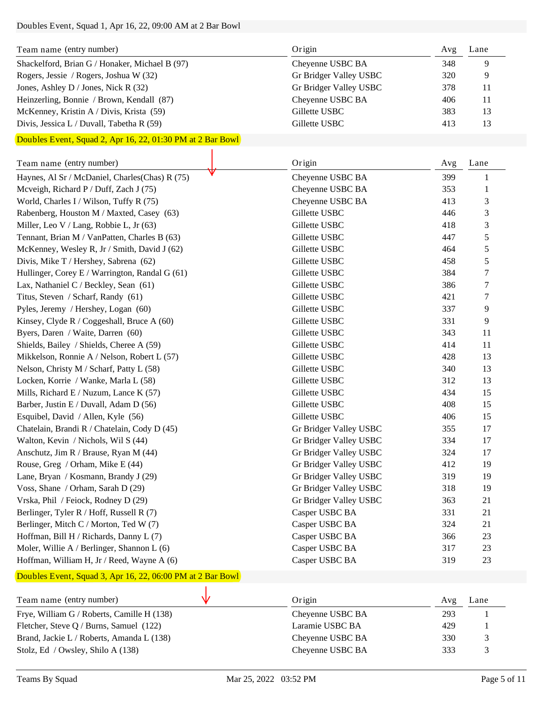## Doubles Event, Squad 1, Apr 16, 22, 09:00 AM at 2 Bar Bowl

| Team name (entry number)                       | Origin                 | Avg | Lane |
|------------------------------------------------|------------------------|-----|------|
| Shackelford, Brian G / Honaker, Michael B (97) | Cheyenne USBC BA       | 348 | 9    |
| Rogers, Jessie / Rogers, Joshua W (32)         | Gr Bridger Valley USBC | 320 | 9    |
| Jones, Ashley D / Jones, Nick R $(32)$         | Gr Bridger Valley USBC | 378 | 11   |
| Heinzerling, Bonnie / Brown, Kendall (87)      | Cheyenne USBC BA       | 406 | 11   |
| McKenney, Kristin A / Divis, Krista (59)       | Gillette USBC          | 383 | 13   |
| Divis, Jessica L / Duvall, Tabetha R $(59)$    | Gillette USBC          | 413 | 13   |

## Doubles Event, Squad 2, Apr 16, 22, 01:30 PM at 2 Bar Bowl

| Team name (entry number)                       | Origin                 | Avg | Lane             |
|------------------------------------------------|------------------------|-----|------------------|
| Haynes, Al Sr / McDaniel, Charles(Chas) R (75) | Cheyenne USBC BA       | 399 | 1                |
| Mcveigh, Richard P / Duff, Zach J (75)         | Cheyenne USBC BA       | 353 | 1                |
| World, Charles I / Wilson, Tuffy R (75)        | Cheyenne USBC BA       | 413 | 3                |
| Rabenberg, Houston M / Maxted, Casey (63)      | Gillette USBC          | 446 | 3                |
| Miller, Leo V / Lang, Robbie L, Jr (63)        | Gillette USBC          | 418 | 3                |
| Tennant, Brian M / VanPatten, Charles B (63)   | Gillette USBC          | 447 | 5                |
| McKenney, Wesley R, Jr / Smith, David J (62)   | Gillette USBC          | 464 | $\mathfrak s$    |
| Divis, Mike T / Hershey, Sabrena (62)          | Gillette USBC          | 458 | 5                |
| Hullinger, Corey E / Warrington, Randal G (61) | Gillette USBC          | 384 | $\boldsymbol{7}$ |
| Lax, Nathaniel C / Beckley, Sean (61)          | Gillette USBC          | 386 | $\boldsymbol{7}$ |
| Titus, Steven / Scharf, Randy (61)             | Gillette USBC          | 421 | 7                |
| Pyles, Jeremy / Hershey, Logan (60)            | Gillette USBC          | 337 | 9                |
| Kinsey, Clyde R / Coggeshall, Bruce A (60)     | Gillette USBC          | 331 | 9                |
| Byers, Daren / Waite, Darren (60)              | Gillette USBC          | 343 | 11               |
| Shields, Bailey / Shields, Cheree A (59)       | Gillette USBC          | 414 | 11               |
| Mikkelson, Ronnie A / Nelson, Robert L (57)    | Gillette USBC          | 428 | 13               |
| Nelson, Christy M / Scharf, Patty L (58)       | Gillette USBC          | 340 | 13               |
| Locken, Korrie / Wanke, Marla L (58)           | Gillette USBC          | 312 | 13               |
| Mills, Richard E / Nuzum, Lance K $(57)$       | Gillette USBC          | 434 | 15               |
| Barber, Justin E / Duvall, Adam D (56)         | Gillette USBC          | 408 | 15               |
| Esquibel, David / Allen, Kyle (56)             | Gillette USBC          | 406 | 15               |
| Chatelain, Brandi R / Chatelain, Cody D (45)   | Gr Bridger Valley USBC | 355 | 17               |
| Walton, Kevin / Nichols, Wil S (44)            | Gr Bridger Valley USBC | 334 | 17               |
| Anschutz, Jim R / Brause, Ryan M (44)          | Gr Bridger Valley USBC | 324 | 17               |
| Rouse, Greg / Orham, Mike E (44)               | Gr Bridger Valley USBC | 412 | 19               |
| Lane, Bryan / Kosmann, Brandy J (29)           | Gr Bridger Valley USBC | 319 | 19               |
| Voss, Shane / Orham, Sarah D (29)              | Gr Bridger Valley USBC | 318 | 19               |
| Vrska, Phil / Feiock, Rodney D (29)            | Gr Bridger Valley USBC | 363 | 21               |
| Berlinger, Tyler R / Hoff, Russell R (7)       | Casper USBC BA         | 331 | 21               |
| Berlinger, Mitch C / Morton, Ted W (7)         | Casper USBC BA         | 324 | 21               |
| Hoffman, Bill H / Richards, Danny L (7)        | Casper USBC BA         | 366 | 23               |
| Moler, Willie A / Berlinger, Shannon L (6)     | Casper USBC BA         | 317 | 23               |
| Hoffman, William H, Jr / Reed, Wayne A (6)     | Casper USBC BA         | 319 | 23               |

## Doubles Event, Squad 3, Apr 16, 22, 06:00 PM at 2 Bar Bowl

| Team name (entry number)                   | Origin           | Avg | Lane |
|--------------------------------------------|------------------|-----|------|
| Frye, William G / Roberts, Camille H (138) | Cheyenne USBC BA | 293 |      |
| Fletcher, Steve Q / Burns, Samuel (122)    | Laramie USBC BA  | 429 |      |
| Brand, Jackie L / Roberts, Amanda L (138)  | Cheyenne USBC BA | 330 |      |
| Stolz, Ed / Owsley, Shilo A (138)          | Cheyenne USBC BA | 333 |      |

 $\mathbf{r}$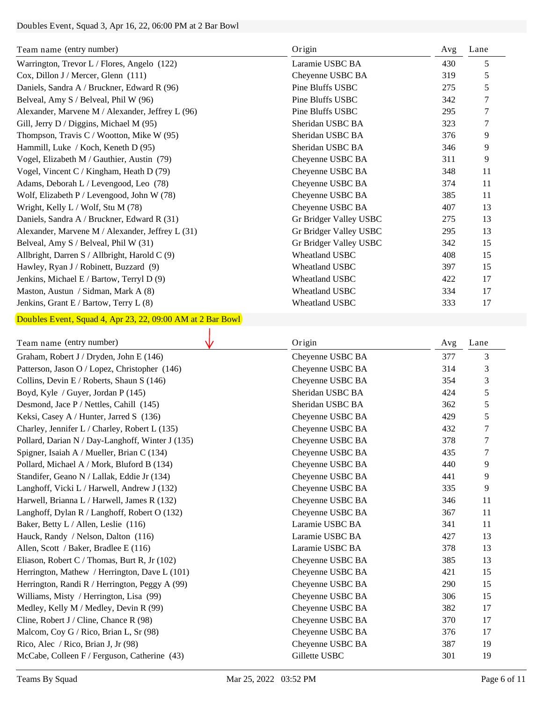## Doubles Event, Squad 3, Apr 16, 22, 06:00 PM at 2 Bar Bowl

| Team name (entry number)                         | Origin                 | Avg | Lane |
|--------------------------------------------------|------------------------|-----|------|
| Warrington, Trevor L / Flores, Angelo (122)      | Laramie USBC BA        | 430 | 5    |
| Cox, Dillon J / Mercer, Glenn (111)              | Cheyenne USBC BA       | 319 | 5    |
| Daniels, Sandra A / Bruckner, Edward R (96)      | Pine Bluffs USBC       | 275 | 5    |
| Belveal, Amy S / Belveal, Phil W (96)            | Pine Bluffs USBC       | 342 | 7    |
| Alexander, Marvene M / Alexander, Jeffrey L (96) | Pine Bluffs USBC       | 295 | 7    |
| Gill, Jerry D / Diggins, Michael M (95)          | Sheridan USBC BA       | 323 | 7    |
| Thompson, Travis C / Wootton, Mike W $(95)$      | Sheridan USBC BA       | 376 | 9    |
| Hammill, Luke / Koch, Keneth D (95)              | Sheridan USBC BA       | 346 | 9    |
| Vogel, Elizabeth M / Gauthier, Austin (79)       | Cheyenne USBC BA       | 311 | 9    |
| Vogel, Vincent C / Kingham, Heath D (79)         | Cheyenne USBC BA       | 348 | 11   |
| Adams, Deborah L / Levengood, Leo (78)           | Cheyenne USBC BA       | 374 | 11   |
| Wolf, Elizabeth P / Levengood, John W (78)       | Cheyenne USBC BA       | 385 | 11   |
| Wright, Kelly L / Wolf, Stu M (78)               | Cheyenne USBC BA       | 407 | 13   |
| Daniels, Sandra A / Bruckner, Edward R (31)      | Gr Bridger Valley USBC | 275 | 13   |
| Alexander, Marvene M / Alexander, Jeffrey L (31) | Gr Bridger Valley USBC | 295 | 13   |
| Belveal, Amy S / Belveal, Phil W (31)            | Gr Bridger Valley USBC | 342 | 15   |
| Allbright, Darren S / Allbright, Harold C (9)    | Wheatland USBC         | 408 | 15   |
| Hawley, Ryan J / Robinett, Buzzard (9)           | <b>Wheatland USBC</b>  | 397 | 15   |
| Jenkins, Michael E / Bartow, Terryl D (9)        | <b>Wheatland USBC</b>  | 422 | 17   |
| Maston, Austun / Sidman, Mark A (8)              | Wheatland USBC         | 334 | 17   |
| Jenkins, Grant E / Bartow, Terry L (8)           | <b>Wheatland USBC</b>  | 333 | 17   |

# Doubles Event, Squad 4, Apr 23, 22, 09:00 AM at 2 Bar Bowl

| Team name (entry number)                         | Origin           | Avg | Lane |
|--------------------------------------------------|------------------|-----|------|
| Graham, Robert J / Dryden, John E (146)          | Cheyenne USBC BA | 377 | 3    |
| Patterson, Jason O / Lopez, Christopher (146)    | Cheyenne USBC BA | 314 | 3    |
| Collins, Devin E / Roberts, Shaun S (146)        | Cheyenne USBC BA | 354 | 3    |
| Boyd, Kyle / Guyer, Jordan P (145)               | Sheridan USBC BA | 424 | 5    |
| Desmond, Jace P / Nettles, Cahill (145)          | Sheridan USBC BA | 362 | 5    |
| Keksi, Casey A / Hunter, Jarred S (136)          | Cheyenne USBC BA | 429 | 5    |
| Charley, Jennifer L / Charley, Robert L (135)    | Cheyenne USBC BA | 432 | 7    |
| Pollard, Darian N / Day-Langhoff, Winter J (135) | Cheyenne USBC BA | 378 | 7    |
| Spigner, Isaiah A / Mueller, Brian C (134)       | Cheyenne USBC BA | 435 | 7    |
| Pollard, Michael A / Mork, Bluford B (134)       | Cheyenne USBC BA | 440 | 9    |
| Standifer, Geano N / Lallak, Eddie Jr (134)      | Cheyenne USBC BA | 441 | 9    |
| Langhoff, Vicki L / Harwell, Andrew J (132)      | Cheyenne USBC BA | 335 | 9    |
| Harwell, Brianna L / Harwell, James R (132)      | Cheyenne USBC BA | 346 | 11   |
| Langhoff, Dylan R / Langhoff, Robert O (132)     | Cheyenne USBC BA | 367 | 11   |
| Baker, Betty L / Allen, Leslie (116)             | Laramie USBC BA  | 341 | 11   |
| Hauck, Randy / Nelson, Dalton (116)              | Laramie USBC BA  | 427 | 13   |
| Allen, Scott / Baker, Bradlee E (116)            | Laramie USBC BA  | 378 | 13   |
| Eliason, Robert C / Thomas, Burt R, Jr (102)     | Cheyenne USBC BA | 385 | 13   |
| Herrington, Mathew / Herrington, Dave L (101)    | Cheyenne USBC BA | 421 | 15   |
| Herrington, Randi R / Herrington, Peggy A (99)   | Cheyenne USBC BA | 290 | 15   |
| Williams, Misty / Herrington, Lisa (99)          | Cheyenne USBC BA | 306 | 15   |
| Medley, Kelly M / Medley, Devin R (99)           | Cheyenne USBC BA | 382 | 17   |
| Cline, Robert J / Cline, Chance R (98)           | Cheyenne USBC BA | 370 | 17   |
| Malcom, Coy G / Rico, Brian L, Sr (98)           | Cheyenne USBC BA | 376 | 17   |
| Rico, Alec / Rico, Brian J, Jr (98)              | Cheyenne USBC BA | 387 | 19   |
| McCabe, Colleen F / Ferguson, Catherine (43)     | Gillette USBC    | 301 | 19   |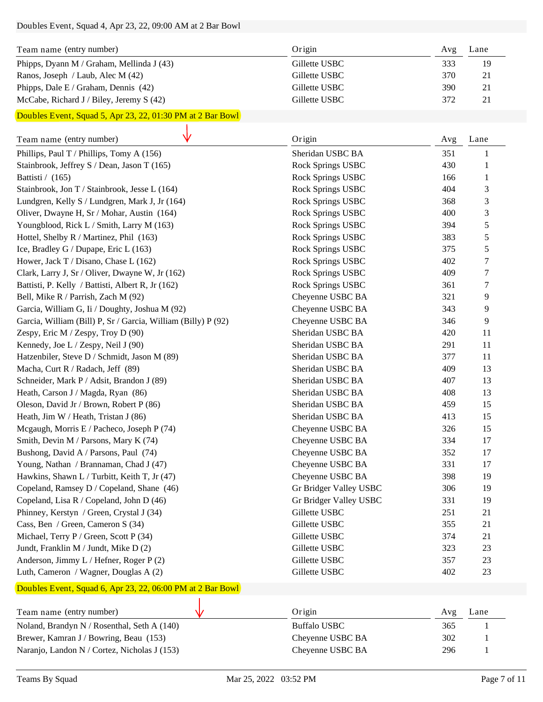#### Doubles Event, Squad 4, Apr 23, 22, 09:00 AM at 2 Bar Bowl

| Team name (entry number)                   | Origin        | Avg | Lane |
|--------------------------------------------|---------------|-----|------|
| Phipps, Dyann M / Graham, Mellinda J (43)  | Gillette USBC | 333 | 19   |
| Ranos, Joseph / Laub, Alec M (42)          | Gillette USBC | 370 | 21   |
| Phipps, Dale E / Graham, Dennis (42)       | Gillette USBC | 390 | 21   |
| McCabe, Richard J / Biley, Jeremy S $(42)$ | Gillette USBC | 372 | 21   |

## Doubles Event, Squad 5, Apr 23, 22, 01:30 PM at 2 Bar Bowl

| Team name (entry number)                                      | Origin                 | Avg | Lane           |
|---------------------------------------------------------------|------------------------|-----|----------------|
| Phillips, Paul T / Phillips, Tomy A (156)                     | Sheridan USBC BA       | 351 |                |
| Stainbrook, Jeffrey S / Dean, Jason T (165)                   | Rock Springs USBC      | 430 | 1              |
| Battisti / (165)                                              | Rock Springs USBC      | 166 | $\mathbf{1}$   |
| Stainbrook, Jon T / Stainbrook, Jesse L (164)                 | Rock Springs USBC      | 404 | 3              |
| Lundgren, Kelly S / Lundgren, Mark J, Jr (164)                | Rock Springs USBC      | 368 | $\mathfrak{Z}$ |
| Oliver, Dwayne H, Sr / Mohar, Austin (164)                    | Rock Springs USBC      | 400 | 3              |
| Youngblood, Rick L / Smith, Larry M (163)                     | Rock Springs USBC      | 394 | 5              |
| Hottel, Shelby R / Martinez, Phil (163)                       | Rock Springs USBC      | 383 | 5              |
| Ice, Bradley G / Dupape, Eric L (163)                         | Rock Springs USBC      | 375 | 5              |
| Hower, Jack T / Disano, Chase L (162)                         | Rock Springs USBC      | 402 | $\tau$         |
| Clark, Larry J, Sr / Oliver, Dwayne W, Jr (162)               | Rock Springs USBC      | 409 | $\tau$         |
| Battisti, P. Kelly / Battisti, Albert R, Jr (162)             | Rock Springs USBC      | 361 | $\tau$         |
| Bell, Mike R / Parrish, Zach M (92)                           | Cheyenne USBC BA       | 321 | 9              |
| Garcia, William G, Ii / Doughty, Joshua M (92)                | Cheyenne USBC BA       | 343 | 9              |
| Garcia, William (Bill) P, Sr / Garcia, William (Billy) P (92) | Cheyenne USBC BA       | 346 | 9              |
| Zespy, Eric M / Zespy, Troy D (90)                            | Sheridan USBC BA       | 420 | 11             |
| Kennedy, Joe L / Zespy, Neil J (90)                           | Sheridan USBC BA       | 291 | 11             |
| Hatzenbiler, Steve D / Schmidt, Jason M (89)                  | Sheridan USBC BA       | 377 | 11             |
| Macha, Curt R / Radach, Jeff (89)                             | Sheridan USBC BA       | 409 | 13             |
| Schneider, Mark P / Adsit, Brandon J (89)                     | Sheridan USBC BA       | 407 | 13             |
| Heath, Carson J / Magda, Ryan (86)                            | Sheridan USBC BA       | 408 | 13             |
| Oleson, David Jr / Brown, Robert P (86)                       | Sheridan USBC BA       | 459 | 15             |
| Heath, Jim W / Heath, Tristan J (86)                          | Sheridan USBC BA       | 413 | 15             |
| Mcgaugh, Morris E / Pacheco, Joseph P (74)                    | Cheyenne USBC BA       | 326 | 15             |
| Smith, Devin M / Parsons, Mary K (74)                         | Cheyenne USBC BA       | 334 | 17             |
| Bushong, David A / Parsons, Paul (74)                         | Cheyenne USBC BA       | 352 | 17             |
| Young, Nathan / Brannaman, Chad J (47)                        | Cheyenne USBC BA       | 331 | 17             |
| Hawkins, Shawn L / Turbitt, Keith T, Jr (47)                  | Cheyenne USBC BA       | 398 | 19             |
| Copeland, Ramsey D / Copeland, Shane (46)                     | Gr Bridger Valley USBC | 306 | 19             |
| Copeland, Lisa R / Copeland, John D (46)                      | Gr Bridger Valley USBC | 331 | 19             |
| Phinney, Kerstyn / Green, Crystal J (34)                      | Gillette USBC          | 251 | 21             |
| Cass, Ben / Green, Cameron S (34)                             | Gillette USBC          | 355 | 21             |
| Michael, Terry P / Green, Scott P (34)                        | Gillette USBC          | 374 | 21             |
| Jundt, Franklin M / Jundt, Mike D (2)                         | Gillette USBC          | 323 | 23             |
| Anderson, Jimmy L / Hefner, Roger P (2)                       | Gillette USBC          | 357 | 23             |
| Luth, Cameron / Wagner, Douglas A (2)                         | Gillette USBC          | 402 | 23             |

## Doubles Event, Squad 6, Apr 23, 22, 06:00 PM at 2 Bar Bowl

| Origin           | Avg | Lane |
|------------------|-----|------|
| Buffalo USBC     | 365 |      |
| Cheyenne USBC BA | 302 |      |
| Cheyenne USBC BA | 296 |      |
|                  |     |      |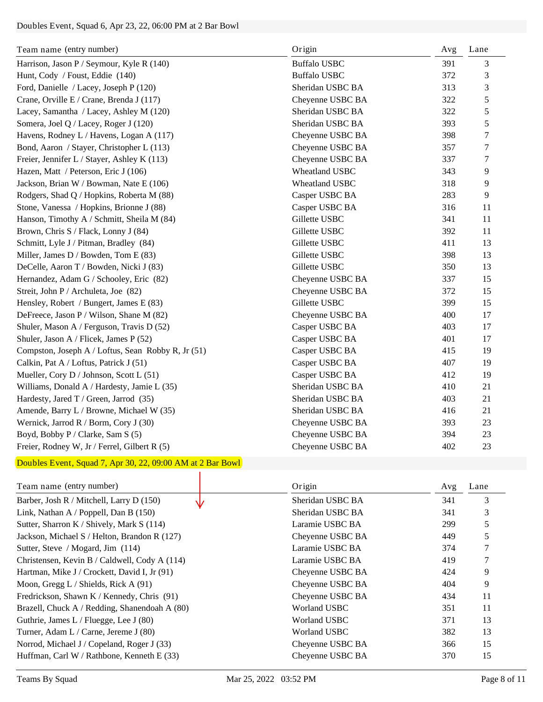## Doubles Event, Squad 6, Apr 23, 22, 06:00 PM at 2 Bar Bowl

| Team name (entry number)                           | Origin              | Avg | Lane |
|----------------------------------------------------|---------------------|-----|------|
| Harrison, Jason P / Seymour, Kyle R (140)          | <b>Buffalo USBC</b> | 391 | 3    |
| Hunt, Cody / Foust, Eddie (140)                    | <b>Buffalo USBC</b> | 372 | 3    |
| Ford, Danielle / Lacey, Joseph P (120)             | Sheridan USBC BA    | 313 | 3    |
| Crane, Orville E / Crane, Brenda J (117)           | Cheyenne USBC BA    | 322 | 5    |
| Lacey, Samantha / Lacey, Ashley M (120)            | Sheridan USBC BA    | 322 | 5    |
| Somera, Joel Q / Lacey, Roger J (120)              | Sheridan USBC BA    | 393 | 5    |
| Havens, Rodney L / Havens, Logan A (117)           | Cheyenne USBC BA    | 398 | 7    |
| Bond, Aaron / Stayer, Christopher L (113)          | Cheyenne USBC BA    | 357 | 7    |
| Freier, Jennifer L / Stayer, Ashley K (113)        | Cheyenne USBC BA    | 337 | 7    |
| Hazen, Matt / Peterson, Eric J (106)               | Wheatland USBC      | 343 | 9    |
| Jackson, Brian W / Bowman, Nate E (106)            | Wheatland USBC      | 318 | 9    |
| Rodgers, Shad Q / Hopkins, Roberta M (88)          | Casper USBC BA      | 283 | 9    |
| Stone, Vanessa / Hopkins, Brionne J (88)           | Casper USBC BA      | 316 | 11   |
| Hanson, Timothy A / Schmitt, Sheila M (84)         | Gillette USBC       | 341 | 11   |
| Brown, Chris S / Flack, Lonny J (84)               | Gillette USBC       | 392 | 11   |
| Schmitt, Lyle J / Pitman, Bradley (84)             | Gillette USBC       | 411 | 13   |
| Miller, James D / Bowden, Tom E (83)               | Gillette USBC       | 398 | 13   |
| DeCelle, Aaron T / Bowden, Nicki J (83)            | Gillette USBC       | 350 | 13   |
| Hernandez, Adam G / Schooley, Eric (82)            | Cheyenne USBC BA    | 337 | 15   |
| Streit, John P / Archuleta, Joe (82)               | Cheyenne USBC BA    | 372 | 15   |
| Hensley, Robert / Bungert, James E (83)            | Gillette USBC       | 399 | 15   |
| DeFreece, Jason P / Wilson, Shane M (82)           | Cheyenne USBC BA    | 400 | 17   |
| Shuler, Mason A / Ferguson, Travis D (52)          | Casper USBC BA      | 403 | 17   |
| Shuler, Jason A / Flicek, James P (52)             | Casper USBC BA      | 401 | 17   |
| Compston, Joseph A / Loftus, Sean Robby R, Jr (51) | Casper USBC BA      | 415 | 19   |
| Calkin, Pat A / Loftus, Patrick J (51)             | Casper USBC BA      | 407 | 19   |
| Mueller, Cory D / Johnson, Scott L (51)            | Casper USBC BA      | 412 | 19   |
| Williams, Donald A / Hardesty, Jamie L (35)        | Sheridan USBC BA    | 410 | 21   |
| Hardesty, Jared T / Green, Jarrod (35)             | Sheridan USBC BA    | 403 | 21   |
| Amende, Barry L / Browne, Michael W (35)           | Sheridan USBC BA    | 416 | 21   |
| Wernick, Jarrod R / Borm, Cory J (30)              | Cheyenne USBC BA    | 393 | 23   |
| Boyd, Bobby P / Clarke, Sam S (5)                  | Cheyenne USBC BA    | 394 | 23   |
| Freier, Rodney W, Jr / Ferrel, Gilbert R (5)       | Cheyenne USBC BA    | 402 | 23   |

## Doubles Event, Squad 7, Apr 30, 22, 09:00 AM at 2 Bar Bowl

| Team name (entry number)                      | Origin           | Avg | Lane |
|-----------------------------------------------|------------------|-----|------|
| Barber, Josh R / Mitchell, Larry D (150)      | Sheridan USBC BA | 341 | 3    |
| Link, Nathan A / Poppell, Dan B $(150)$       | Sheridan USBC BA | 341 | 3    |
| Sutter, Sharron K / Shively, Mark S (114)     | Laramie USBC BA  | 299 | 5    |
| Jackson, Michael S / Helton, Brandon R (127)  | Cheyenne USBC BA | 449 | 5    |
| Sutter, Steve / Mogard, Jim (114)             | Laramie USBC BA  | 374 |      |
| Christensen, Kevin B / Caldwell, Cody A (114) | Laramie USBC BA  | 419 |      |
| Hartman, Mike J / Crockett, David I, Jr (91)  | Cheyenne USBC BA | 424 | 9    |
| Moon, Gregg L / Shields, Rick A $(91)$        | Cheyenne USBC BA | 404 | 9    |
| Fredrickson, Shawn K / Kennedy, Chris (91)    | Cheyenne USBC BA | 434 | 11   |
| Brazell, Chuck A / Redding, Shanendoah A (80) | Worland USBC     | 351 | 11   |
| Guthrie, James L / Fluegge, Lee J (80)        | Worland USBC     | 371 | 13   |
| Turner, Adam L / Carne, Jereme J (80)         | Worland USBC     | 382 | 13   |
| Norrod, Michael J / Copeland, Roger J (33)    | Cheyenne USBC BA | 366 | 15   |
| Huffman, Carl W / Rathbone, Kenneth E (33)    | Cheyenne USBC BA | 370 | 15   |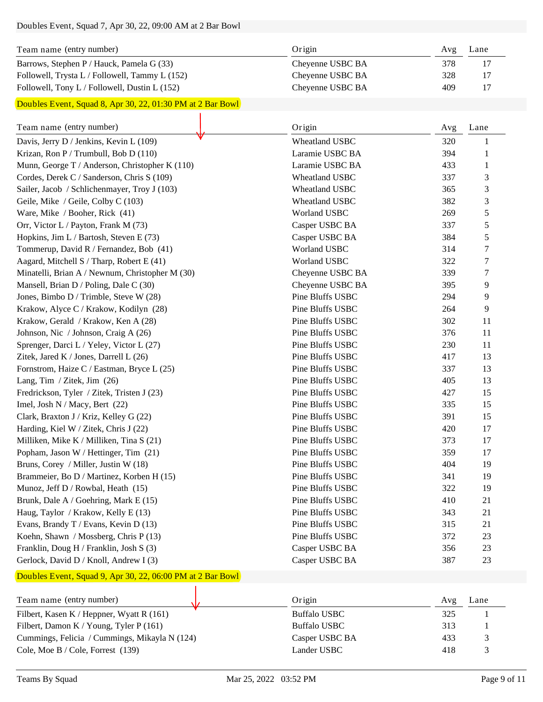# Doubles Event, Squad 7, Apr 30, 22, 09:00 AM at 2 Bar Bowl

| Team name (entry number)                         | Origin           | Avg | Lane |
|--------------------------------------------------|------------------|-----|------|
| Barrows, Stephen P / Hauck, Pamela G (33)        | Chevenne USBC BA | 378 |      |
| Followell, Trysta L / Followell, Tammy L $(152)$ | Chevenne USBC BA | 328 | 17   |
| Followell, Tony L / Followell, Dustin L $(152)$  | Chevenne USBC BA | 409 | 17   |

#### Doubles Event, Squad 8, Apr 30, 22, 01:30 PM at 2 Bar Bowl

| Team name (entry number)                        | Origin                | Avg | Lane   |
|-------------------------------------------------|-----------------------|-----|--------|
| Davis, Jerry D / Jenkins, Kevin L (109)         | Wheatland USBC        | 320 | 1      |
| Krizan, Ron P / Trumbull, Bob D (110)           | Laramie USBC BA       | 394 | 1      |
| Munn, George T / Anderson, Christopher K (110)  | Laramie USBC BA       | 433 | 1      |
| Cordes, Derek C / Sanderson, Chris S (109)      | <b>Wheatland USBC</b> | 337 | 3      |
| Sailer, Jacob / Schlichenmayer, Troy J (103)    | <b>Wheatland USBC</b> | 365 | 3      |
| Geile, Mike / Geile, Colby C (103)              | Wheatland USBC        | 382 | 3      |
| Ware, Mike / Booher, Rick (41)                  | Worland USBC          | 269 | 5      |
| Orr, Victor L / Payton, Frank M (73)            | Casper USBC BA        | 337 | 5      |
| Hopkins, Jim L / Bartosh, Steven E (73)         | Casper USBC BA        | 384 | 5      |
| Tommerup, David R / Fernandez, Bob (41)         | Worland USBC          | 314 | 7      |
| Aagard, Mitchell S / Tharp, Robert E (41)       | Worland USBC          | 322 | 7      |
| Minatelli, Brian A / Newnum, Christopher M (30) | Cheyenne USBC BA      | 339 | $\tau$ |
| Mansell, Brian D / Poling, Dale C (30)          | Cheyenne USBC BA      | 395 | 9      |
| Jones, Bimbo D / Trimble, Steve W (28)          | Pine Bluffs USBC      | 294 | 9      |
| Krakow, Alyce C / Krakow, Kodilyn (28)          | Pine Bluffs USBC      | 264 | 9      |
| Krakow, Gerald / Krakow, Ken A (28)             | Pine Bluffs USBC      | 302 | 11     |
| Johnson, Nic / Johnson, Craig A (26)            | Pine Bluffs USBC      | 376 | 11     |
| Sprenger, Darci L / Yeley, Victor L (27)        | Pine Bluffs USBC      | 230 | 11     |
| Zitek, Jared K / Jones, Darrell L (26)          | Pine Bluffs USBC      | 417 | 13     |
| Fornstrom, Haize C / Eastman, Bryce L (25)      | Pine Bluffs USBC      | 337 | 13     |
| Lang, Tim / Zitek, Jim (26)                     | Pine Bluffs USBC      | 405 | 13     |
| Fredrickson, Tyler / Zitek, Tristen J (23)      | Pine Bluffs USBC      | 427 | 15     |
| Imel, Josh N / Macy, Bert $(22)$                | Pine Bluffs USBC      | 335 | 15     |
| Clark, Braxton J / Kriz, Kelley G (22)          | Pine Bluffs USBC      | 391 | 15     |
| Harding, Kiel W / Zitek, Chris J (22)           | Pine Bluffs USBC      | 420 | 17     |
| Milliken, Mike K / Milliken, Tina S (21)        | Pine Bluffs USBC      | 373 | 17     |
| Popham, Jason W / Hettinger, Tim (21)           | Pine Bluffs USBC      | 359 | 17     |
| Bruns, Corey / Miller, Justin W (18)            | Pine Bluffs USBC      | 404 | 19     |
| Brammeier, Bo D / Martinez, Korben H (15)       | Pine Bluffs USBC      | 341 | 19     |
| Munoz, Jeff D / Rowbal, Heath (15)              | Pine Bluffs USBC      | 322 | 19     |
| Brunk, Dale A / Goehring, Mark E (15)           | Pine Bluffs USBC      | 410 | 21     |
| Haug, Taylor / Krakow, Kelly E (13)             | Pine Bluffs USBC      | 343 | 21     |
| Evans, Brandy T / Evans, Kevin D (13)           | Pine Bluffs USBC      | 315 | 21     |
| Koehn, Shawn / Mossberg, Chris P (13)           | Pine Bluffs USBC      | 372 | 23     |
| Franklin, Doug H / Franklin, Josh S (3)         | Casper USBC BA        | 356 | 23     |
| Gerlock, David D / Knoll, Andrew I (3)          | Casper USBC BA        | 387 | 23     |

#### Doubles Event, Squad 9, Apr 30, 22, 06:00 PM at 2 Bar Bowl

| Team name (entry number)                      | Origin              | Avg | Lane |
|-----------------------------------------------|---------------------|-----|------|
| Filbert, Kasen K / Heppner, Wyatt R $(161)$   | <b>Buffalo USBC</b> | 325 |      |
| Filbert, Damon K / Young, Tyler P $(161)$     | <b>Buffalo USBC</b> | 313 |      |
| Cummings, Felicia / Cummings, Mikayla N (124) | Casper USBC BA      | 433 |      |
| Cole, Moe B / Cole, Forrest (139)             | Lander USBC         | 418 |      |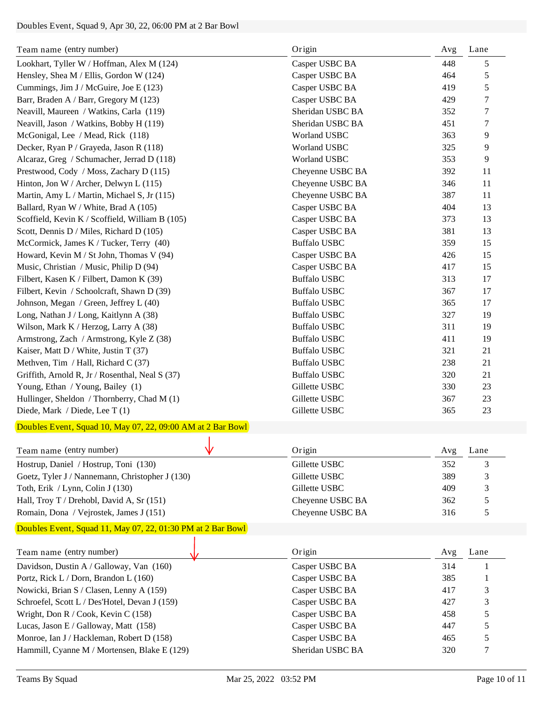## Doubles Event, Squad 9, Apr 30, 22, 06:00 PM at 2 Bar Bowl

| Team name (entry number)                                    | Origin              | Avg | Lane |
|-------------------------------------------------------------|---------------------|-----|------|
| Lookhart, Tyller W / Hoffman, Alex M (124)                  | Casper USBC BA      | 448 | 5    |
| Hensley, Shea M / Ellis, Gordon W (124)                     | Casper USBC BA      | 464 | 5    |
| Cummings, Jim J / McGuire, Joe E (123)                      | Casper USBC BA      | 419 | 5    |
| Barr, Braden A / Barr, Gregory M (123)                      | Casper USBC BA      | 429 | 7    |
| Neavill, Maureen / Watkins, Carla (119)                     | Sheridan USBC BA    | 352 | 7    |
| Neavill, Jason / Watkins, Bobby H (119)                     | Sheridan USBC BA    | 451 | 7    |
| McGonigal, Lee / Mead, Rick (118)                           | <b>Worland USBC</b> | 363 | 9    |
| Decker, Ryan P / Grayeda, Jason R (118)                     | <b>Worland USBC</b> | 325 | 9    |
| Alcaraz, Greg / Schumacher, Jerrad D (118)                  | <b>Worland USBC</b> | 353 | 9    |
| Prestwood, Cody / Moss, Zachary D (115)                     | Cheyenne USBC BA    | 392 | 11   |
| Hinton, Jon W / Archer, Delwyn L (115)                      | Cheyenne USBC BA    | 346 | 11   |
| Martin, Amy L / Martin, Michael S, Jr (115)                 | Cheyenne USBC BA    | 387 | 11   |
| Ballard, Ryan W / White, Brad A (105)                       | Casper USBC BA      | 404 | 13   |
| Scoffield, Kevin K / Scoffield, William B (105)             | Casper USBC BA      | 373 | 13   |
| Scott, Dennis D / Miles, Richard D (105)                    | Casper USBC BA      | 381 | 13   |
| McCormick, James K / Tucker, Terry (40)                     | <b>Buffalo USBC</b> | 359 | 15   |
| Howard, Kevin M / St John, Thomas V (94)                    | Casper USBC BA      | 426 | 15   |
| Music, Christian / Music, Philip D (94)                     | Casper USBC BA      | 417 | 15   |
| Filbert, Kasen K / Filbert, Damon K (39)                    | <b>Buffalo USBC</b> | 313 | 17   |
| Filbert, Kevin / Schoolcraft, Shawn D (39)                  | <b>Buffalo USBC</b> | 367 | 17   |
| Johnson, Megan / Green, Jeffrey L (40)                      | <b>Buffalo USBC</b> | 365 | 17   |
| Long, Nathan J / Long, Kaitlynn A (38)                      | <b>Buffalo USBC</b> | 327 | 19   |
| Wilson, Mark K / Herzog, Larry A (38)                       | <b>Buffalo USBC</b> | 311 | 19   |
| Armstrong, Zach / Armstrong, Kyle Z (38)                    | <b>Buffalo USBC</b> | 411 | 19   |
| Kaiser, Matt D / White, Justin T (37)                       | <b>Buffalo USBC</b> | 321 | 21   |
| Methven, Tim / Hall, Richard C (37)                         | <b>Buffalo USBC</b> | 238 | 21   |
| Griffith, Arnold R, Jr / Rosenthal, Neal S (37)             | <b>Buffalo USBC</b> | 320 | 21   |
| Young, Ethan / Young, Bailey (1)                            | Gillette USBC       | 330 | 23   |
| Hullinger, Sheldon / Thornberry, Chad M (1)                 | Gillette USBC       | 367 | 23   |
| Diede, Mark / Diede, Lee T (1)                              | Gillette USBC       | 365 | 23   |
| Doubles Event, Squad 10, May 07, 22, 09:00 AM at 2 Bar Bowl |                     |     |      |
| Team name (entry number)                                    | Origin              | Avg | Lane |
| Hostrup, Daniel / Hostrup, Toni (130)                       | Gillette USBC       | 352 | 3    |
| Goetz, Tyler J / Nannemann, Christopher J (130)             | Gillette USBC       | 389 | 3    |
| Toth, Erik / Lynn, Colin J (130)                            | Gillette USBC       | 409 | 3    |
| Hall, Troy T / Drehobl, David A, Sr (151)                   | Cheyenne USBC BA    | 362 | 5    |
| Romain, Dona / Vejrostek, James J (151)                     | Cheyenne USBC BA    | 316 | 5    |
| Doubles Event, Squad 11, May 07, 22, 01:30 PM at 2 Bar Bowl |                     |     |      |
|                                                             |                     |     |      |
| Team name (entry number)                                    | Origin              | Avg | Lane |
| Davidson, Dustin A / Galloway, Van (160)                    | Casper USBC BA      | 314 | 1    |
| Portz, Rick L / Dorn, Brandon L (160)                       | Casper USBC BA      | 385 |      |
| Nowicki, Brian S / Clasen, Lenny A (159)                    | Casper USBC BA      | 417 | 3    |
| Schroefel, Scott L / Des'Hotel, Devan J (159)               | Casper USBC BA      | 427 | 3    |
| Wright, Don R / Cook, Kevin C (158)                         | Casper USBC BA      | 458 | 5    |
| Lucas, Jason E / Galloway, Matt (158)                       | Casper USBC BA      | 447 | 5    |
| Monroe, Ian J / Hackleman, Robert D (158)                   | Casper USBC BA      | 465 | 5    |
| Hammill, Cyanne M / Mortensen, Blake E (129)                | Sheridan USBC BA    | 320 | 7    |